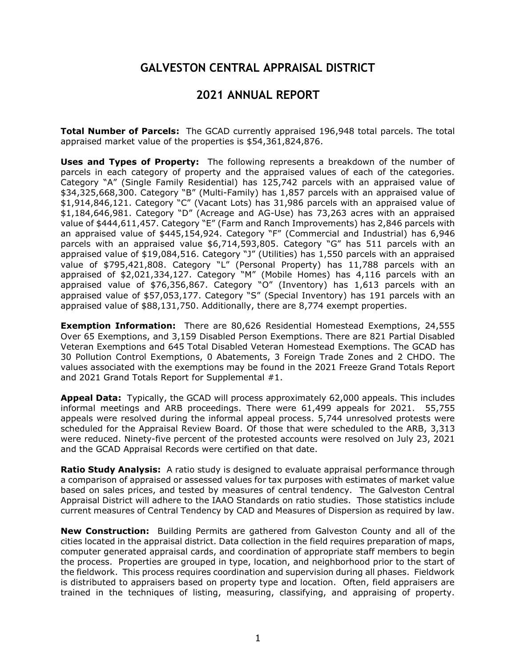## **GALVESTON CENTRAL APPRAISAL DISTRICT**

## **2021 ANNUAL REPORT**

**Total Number of Parcels:** The GCAD currently appraised 196,948 total parcels. The total appraised market value of the properties is \$54,361,824,876.

**Uses and Types of Property:** The following represents a breakdown of the number of parcels in each category of property and the appraised values of each of the categories. Category "A" (Single Family Residential) has 125,742 parcels with an appraised value of \$34,325,668,300. Category "B" (Multi-Family) has 1,857 parcels with an appraised value of \$1,914,846,121. Category "C" (Vacant Lots) has 31,986 parcels with an appraised value of \$1,184,646,981. Category "D" (Acreage and AG-Use) has 73,263 acres with an appraised value of \$444,611,457. Category "E" (Farm and Ranch Improvements) has 2,846 parcels with an appraised value of \$445,154,924. Category "F" (Commercial and Industrial) has 6,946 parcels with an appraised value \$6,714,593,805. Category "G" has 511 parcels with an appraised value of \$19,084,516. Category "J" (Utilities) has 1,550 parcels with an appraised value of \$795,421,808. Category "L" (Personal Property) has 11,788 parcels with an appraised of \$2,021,334,127. Category "M" (Mobile Homes) has 4,116 parcels with an appraised value of \$76,356,867. Category "O" (Inventory) has 1,613 parcels with an appraised value of \$57,053,177. Category "S" (Special Inventory) has 191 parcels with an appraised value of \$88,131,750. Additionally, there are 8,774 exempt properties.

**Exemption Information:** There are 80,626 Residential Homestead Exemptions, 24,555 Over 65 Exemptions, and 3,159 Disabled Person Exemptions. There are 821 Partial Disabled Veteran Exemptions and 645 Total Disabled Veteran Homestead Exemptions. The GCAD has 30 Pollution Control Exemptions, 0 Abatements, 3 Foreign Trade Zones and 2 CHDO. The values associated with the exemptions may be found in the 2021 Freeze Grand Totals Report and 2021 Grand Totals Report for Supplemental #1.

**Appeal Data:** Typically, the GCAD will process approximately 62,000 appeals. This includes informal meetings and ARB proceedings. There were 61,499 appeals for 2021. 55,755 appeals were resolved during the informal appeal process. 5,744 unresolved protests were scheduled for the Appraisal Review Board. Of those that were scheduled to the ARB, 3,313 were reduced. Ninety-five percent of the protested accounts were resolved on July 23, 2021 and the GCAD Appraisal Records were certified on that date.

**Ratio Study Analysis:** A ratio study is designed to evaluate appraisal performance through a comparison of appraised or assessed values for tax purposes with estimates of market value based on sales prices, and tested by measures of central tendency. The Galveston Central Appraisal District will adhere to the IAAO Standards on ratio studies. Those statistics include current measures of Central Tendency by CAD and Measures of Dispersion as required by law.

**New Construction:** Building Permits are gathered from Galveston County and all of the cities located in the appraisal district. Data collection in the field requires preparation of maps, computer generated appraisal cards, and coordination of appropriate staff members to begin the process. Properties are grouped in type, location, and neighborhood prior to the start of the fieldwork. This process requires coordination and supervision during all phases. Fieldwork is distributed to appraisers based on property type and location. Often, field appraisers are trained in the techniques of listing, measuring, classifying, and appraising of property.